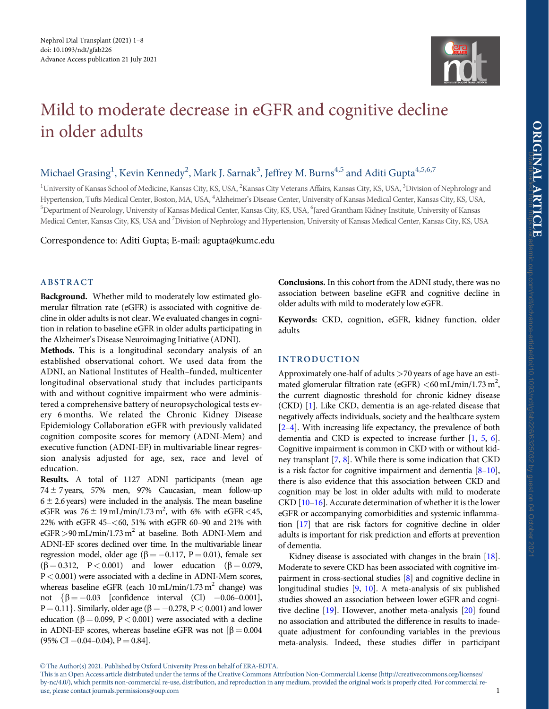

# <span id="page-0-0"></span>Mild to moderate decrease in eGFR and cognitive decline in older adults

# Michael Grasing<sup>1</sup>, Kevin Kennedy<sup>2</sup>, Mark J. Sarnak<sup>3</sup>, Jeffrey M. Burns<sup>4,5</sup> and Aditi Gupta<sup>4,5,6,7</sup>

<sup>1</sup>University of Kansas School of Medicine, Kansas City, KS, USA, <sup>2</sup>Kansas City Veterans Affairs, Kansas City, KS, USA, <sup>3</sup>Division of Nephrology and Hypertension, Tufts Medical Center, Boston, MA, USA, <sup>4</sup>Alzheimer's Disease Center, University of Kansas Medical Center, Kansas City, KS, USA, <sup>5</sup>Department of Neurology, University of Kansas Medical Center, Kansas City, KS, USA, <sup>6</sup>Jared Grantham Kidney Institute, University of Kansas Medical Center, Kansas City, KS, USA and <sup>7</sup>Division of Nephrology and Hypertension, University of Kansas Medical Center, Kansas City, KS, USA

Correspondence to: Aditi Gupta; E-mail: agupta@kumc.edu

# ABSTRACT

Background. Whether mild to moderately low estimated glomerular filtration rate (eGFR) is associated with cognitive decline in older adults is not clear. We evaluated changes in cognition in relation to baseline eGFR in older adults participating in the Alzheimer's Disease Neuroimaging Initiative (ADNI).

Methods. This is a longitudinal secondary analysis of an established observational cohort. We used data from the ADNI, an National Institutes of Health–funded, multicenter longitudinal observational study that includes participants with and without cognitive impairment who were administered a comprehensive battery of neuropsychological tests every 6 months. We related the Chronic Kidney Disease Epidemiology Collaboration eGFR with previously validated cognition composite scores for memory (ADNI-Mem) and executive function (ADNI-EF) in multivariable linear regression analysis adjusted for age, sex, race and level of education.

Results. A total of 1127 ADNI participants (mean age  $74 \pm 7$  years, 57% men, 97% Caucasian, mean follow-up  $6 \pm 2.6$  years) were included in the analysis. The mean baseline eGFR was  $76 \pm 19 \text{ mL/min}/1.73 \text{ m}^2$ , with 6% with eGFR <45, 22% with eGFR 45–<60, 51% with eGFR 60–90 and 21% with eGFR > 90 mL/min/1.73 m<sup>2</sup> at baseline. Both ADNI-Mem and ADNI-EF scores declined over time. In the multivariable linear regression model, older age ( $\beta = -0.117$ , P = 0.01), female sex  $(\beta = 0.312, P < 0.001)$  and lower education  $(\beta = 0.079,$ P< 0.001) were associated with a decline in ADNI-Mem scores, whereas baseline eGFR (each  $10 \text{ mL/min}/1.73 \text{ m}^2$  change) was not  $\{\beta = -0.03$  [confidence interval (CI)  $-0.06 - 0.001$ ],  $P = 0.11$ . Similarly, older age ( $\beta = -0.278$ ,  $P < 0.001$ ) and lower education ( $\beta$  = 0.099, P < 0.001) were associated with a decline in ADNI-EF scores, whereas baseline eGFR was not  $\beta = 0.004$  $(95\% \text{ CI} - 0.04 - 0.04)$ ,  $P = 0.84$ ].

Conclusions. In this cohort from the ADNI study, there was no association between baseline eGFR and cognitive decline in older adults with mild to moderately low eGFR.

Keywords: CKD, cognition, eGFR, kidney function, older adults

# INTRODUCTION

Approximately one-half of adults >70 years of age have an estimated glomerular filtration rate (eGFR) <60 mL/min/1.73 m<sup>2</sup>, the current diagnostic threshold for chronic kidney disease (CKD) [\[1\]](#page-6-0). Like CKD, dementia is an age-related disease that negatively affects individuals, society and the healthcare system [[2–4](#page-6-0)]. With increasing life expectancy, the prevalence of both dementia and CKD is expected to increase further [[1](#page-6-0), [5](#page-6-0), [6](#page-6-0)]. Cognitive impairment is common in CKD with or without kidney transplant [\[7,](#page-6-0) [8](#page-6-0)]. While there is some indication that CKD is a risk factor for cognitive impairment and dementia  $[8-10]$ , there is also evidence that this association between CKD and cognition may be lost in older adults with mild to moderate CKD [\[10–16](#page-6-0)]. Accurate determination of whether it is the lower eGFR or accompanying comorbidities and systemic inflammation [\[17\]](#page-6-0) that are risk factors for cognitive decline in older adults is important for risk prediction and efforts at prevention of dementia.

Kidney disease is associated with changes in the brain [\[18](#page-6-0)]. Moderate to severe CKD has been associated with cognitive impairment in cross-sectional studies [\[8\]](#page-6-0) and cognitive decline in longitudinal studies [\[9,](#page-6-0) [10](#page-6-0)]. A meta-analysis of six published studies showed an association between lower eGFR and cognitive decline [\[19\]](#page-6-0). However, another meta-analysis [\[20](#page-6-0)] found no association and attributed the difference in results to inadequate adjustment for confounding variables in the previous meta-analysis. Indeed, these studies differ in participant

This is an Open Access article distributed under the terms of the Creative Commons Attribution Non-Commercial License (http://creativecommons.org/licenses/ by-nc/4.0/), which permits non-commercial re-use, distribution, and reproduction in any medium, provided the original work is properly cited. For commercial reuse, please contact journals.permissions@oup.com 1

V<sup>C</sup> The Author(s) 2021. Published by Oxford University Press on behalf of ERA-EDTA.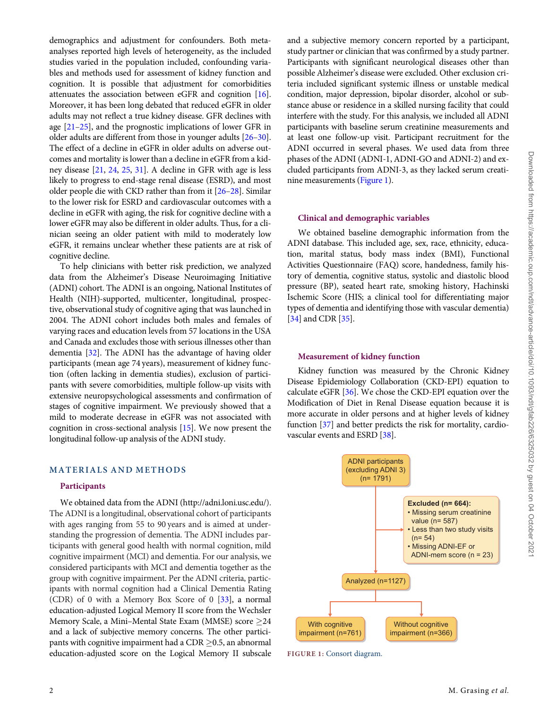<span id="page-1-0"></span>demographics and adjustment for confounders. Both metaanalyses reported high levels of heterogeneity, as the included studies varied in the population included, confounding variables and methods used for assessment of kidney function and cognition. It is possible that adjustment for comorbidities attenuates the association between eGFR and cognition [[16\]](#page-6-0). Moreover, it has been long debated that reduced eGFR in older adults may not reflect a true kidney disease. GFR declines with age [\[21–25](#page-6-0)], and the prognostic implications of lower GFR in older adults are different from those in younger adults [\[26–30\]](#page-6-0). The effect of a decline in eGFR in older adults on adverse outcomes and mortality is lower than a decline in eGFR from a kidney disease [\[21,](#page-6-0) [24](#page-6-0), [25](#page-6-0), [31](#page-6-0)]. A decline in GFR with age is less likely to progress to end-stage renal disease (ESRD), and most older people die with CKD rather than from it [[26–28](#page-6-0)]. Similar to the lower risk for ESRD and cardiovascular outcomes with a decline in eGFR with aging, the risk for cognitive decline with a lower eGFR may also be different in older adults. Thus, for a clinician seeing an older patient with mild to moderately low eGFR, it remains unclear whether these patients are at risk of [[34](#page-6-0)] and CDR [[35](#page-6-0)].

cognitive decline. To help clinicians with better risk prediction, we analyzed data from the Alzheimer's Disease Neuroimaging Initiative (ADNI) cohort. The ADNI is an ongoing, National Institutes of Health (NIH)-supported, multicenter, longitudinal, prospective, observational study of cognitive aging that was launched in 2004. The ADNI cohort includes both males and females of varying races and education levels from 57 locations in the USA and Canada and excludes those with serious illnesses other than dementia [[32](#page-6-0)]. The ADNI has the advantage of having older participants (mean age 74 years), measurement of kidney function (often lacking in dementia studies), exclusion of participants with severe comorbidities, multiple follow-up visits with extensive neuropsychological assessments and confirmation of stages of cognitive impairment. We previously showed that a mild to moderate decrease in eGFR was not associated with cognition in cross-sectional analysis [[15\]](#page-6-0). We now present the longitudinal follow-up analysis of the ADNI study.

#### MATERIALS AND METHODS

#### **Participants**

We obtained data from the ADNI [\(http://adni.loni.usc.edu/](http://adni.loni.usc.edu/)). The ADNI is a longitudinal, observational cohort of participants with ages ranging from 55 to 90 years and is aimed at understanding the progression of dementia. The ADNI includes participants with general good health with normal cognition, mild cognitive impairment (MCI) and dementia. For our analysis, we considered participants with MCI and dementia together as the group with cognitive impairment. Per the ADNI criteria, participants with normal cognition had a Clinical Dementia Rating (CDR) of 0 with a Memory Box Score of 0 [\[33](#page-6-0)], a normal education-adjusted Logical Memory II score from the Wechsler Memory Scale, a Mini–Mental State Exam (MMSE) score ≥24 and a lack of subjective memory concerns. The other participants with cognitive impairment had a CDR  $\geq$  0.5, an abnormal education-adjusted score on the Logical Memory II subscale and a subjective memory concern reported by a participant, study partner or clinician that was confirmed by a study partner. Participants with significant neurological diseases other than possible Alzheimer's disease were excluded. Other exclusion criteria included significant systemic illness or unstable medical condition, major depression, bipolar disorder, alcohol or substance abuse or residence in a skilled nursing facility that could interfere with the study. For this analysis, we included all ADNI participants with baseline serum creatinine measurements and at least one follow-up visit. Participant recruitment for the ADNI occurred in several phases. We used data from three phases of the ADNI (ADNI-1, ADNI-GO and ADNI-2) and excluded participants from ADNI-3, as they lacked serum creatinine measurements (Figure 1).

#### Clinical and demographic variables

We obtained baseline demographic information from the ADNI database. This included age, sex, race, ethnicity, education, marital status, body mass index (BMI), Functional Activities Questionnaire (FAQ) score, handedness, family history of dementia, cognitive status, systolic and diastolic blood pressure (BP), seated heart rate, smoking history, Hachinski Ischemic Score (HIS; a clinical tool for differentiating major types of dementia and identifying those with vascular dementia)

#### Measurement of kidney function

Kidney function was measured by the Chronic Kidney Disease Epidemiology Collaboration (CKD-EPI) equation to calculate eGFR [\[36\]](#page-6-0). We chose the CKD-EPI equation over the Modification of Diet in Renal Disease equation because it is more accurate in older persons and at higher levels of kidney function [[37](#page-6-0)] and better predicts the risk for mortality, cardiovascular events and ESRD [[38](#page-6-0)].



FIGURE 1: Consort diagram.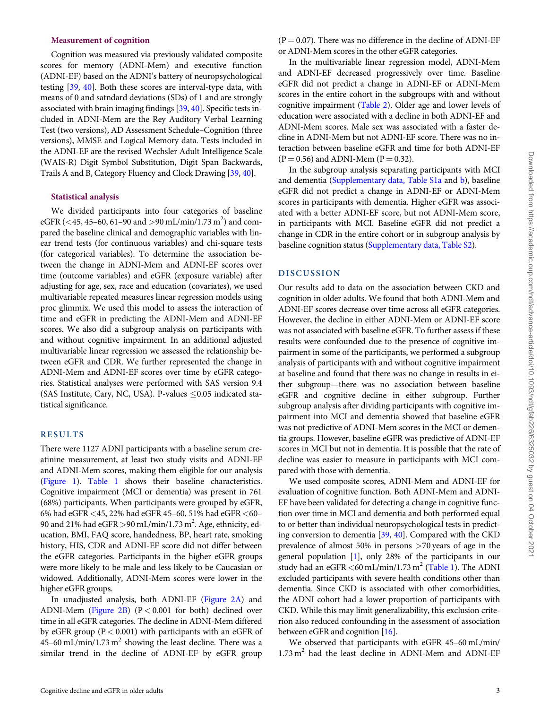# <span id="page-2-0"></span>Measurement of cognition

Cognition was measured via previously validated composite scores for memory (ADNI-Mem) and executive function (ADNI-EF) based on the ADNI's battery of neuropsychological testing [[39](#page-6-0), [40](#page-7-0)]. Both these scores are interval-type data, with means of 0 and satndard deviations (SDs) of 1 and are strongly associated with brain imaging findings [[39,](#page-6-0) [40\]](#page-7-0). Specific tests included in ADNI-Mem are the Rey Auditory Verbal Learning Test (two versions), AD Assessment Schedule–Cognition (three versions), MMSE and Logical Memory data. Tests included in the ADNI-EF are the revised Wechsler Adult Intelligence Scale (WAIS-R) Digit Symbol Substitution, Digit Span Backwards, Trails A and B, Category Fluency and Clock Drawing [[39](#page-6-0), [40\]](#page-7-0).

#### Statistical analysis

We divided participants into four categories of baseline eGFR (<45, 45–60, 61–90 and >90 mL/min/1.73 m<sup>2</sup>) and compared the baseline clinical and demographic variables with linear trend tests (for continuous variables) and chi-square tests (for categorical variables). To determine the association between the change in ADNI-Mem and ADNI-EF scores over time (outcome variables) and eGFR (exposure variable) after adjusting for age, sex, race and education (covariates), we used multivariable repeated measures linear regression models using proc glimmix. We used this model to assess the interaction of time and eGFR in predicting the ADNI-Mem and ADNI-EF scores. We also did a subgroup analysis on participants with and without cognitive impairment. In an additional adjusted multivariable linear regression we assessed the relationship between eGFR and CDR. We further represented the change in ADNI-Mem and ADNI-EF scores over time by eGFR categories. Statistical analyses were performed with SAS version 9.4 (SAS Institute, Cary, NC, USA). P-values  $\leq 0.05$  indicated statistical significance.

#### RESULTS

There were 1127 ADNI participants with a baseline serum creatinine measurement, at least two study visits and ADNI-EF and ADNI-Mem scores, making them eligible for our analysis [\(Figure 1](#page-1-0)). [Table 1](#page-3-0) shows their baseline characteristics. Cognitive impairment (MCI or dementia) was present in 761 (68%) participants. When participants were grouped by eGFR,  $6\%$  had eGFR  $<\!45,22\%$  had eGFR  $45-60,51\%$  had eGFR  $<\!60-$ 90 and 21% had  $eGFR > 90$  mL/min/1.73 m<sup>2</sup>. Age, ethnicity, education, BMI, FAQ score, handedness, BP, heart rate, smoking history, HIS, CDR and ADNI-EF score did not differ between the eGFR categories. Participants in the higher eGFR groups were more likely to be male and less likely to be Caucasian or widowed. Additionally, ADNI-Mem scores were lower in the higher eGFR groups.

In unadjusted analysis, both ADNI-EF ([Figure 2A](#page-4-0)) and ADNI-Mem [\(Figure 2B](#page-4-0)) (P< 0.001 for both) declined over time in all eGFR categories. The decline in ADNI-Mem differed by eGFR group ( $P < 0.001$ ) with participants with an eGFR of 45–60 mL/min/1.73 m<sup>2</sup> showing the least decline. There was a similar trend in the decline of ADNI-EF by eGFR group  $(P = 0.07)$ . There was no difference in the decline of ADNI-EF or ADNI-Mem scores in the other eGFR categories.

In the multivariable linear regression model, ADNI-Mem and ADNI-EF decreased progressively over time. Baseline eGFR did not predict a change in ADNI-EF or ADNI-Mem scores in the entire cohort in the subgroups with and without cognitive impairment [\(Table 2](#page-4-0)). Older age and lower levels of education were associated with a decline in both ADNI-EF and ADNI-Mem scores. Male sex was associated with a faster decline in ADNI-Mem but not ADNI-EF score. There was no interaction between baseline eGFR and time for both ADNI-EF  $(P = 0.56)$  and ADNI-Mem  $(P = 0.32)$ .

In the subgroup analysis separating participants with MCI and dementia ([Supplementary data, Table S1a](https://academic.oup.com/ndt/article-lookup/doi/10.1093/ndt/gfab226#supplementary-data) and [b](https://academic.oup.com/ndt/article-lookup/doi/10.1093/ndt/gfab226#supplementary-data)), baseline eGFR did not predict a change in ADNI-EF or ADNI-Mem scores in participants with dementia. Higher eGFR was associated with a better ADNI-EF score, but not ADNI-Mem score, in participants with MCI. Baseline eGFR did not predict a change in CDR in the entire cohort or in subgroup analysis by baseline cognition status [\(Supplementary data, Table S2\)](https://academic.oup.com/ndt/article-lookup/doi/10.1093/ndt/gfab226#supplementary-data).

#### DISCUSSION

Our results add to data on the association between CKD and cognition in older adults. We found that both ADNI-Mem and ADNI-EF scores decrease over time across all eGFR categories. However, the decline in either ADNI-Mem or ADNI-EF score was not associated with baseline eGFR. To further assess if these results were confounded due to the presence of cognitive impairment in some of the participants, we performed a subgroup analysis of participants with and without cognitive impairment at baseline and found that there was no change in results in either subgroup—there was no association between baseline eGFR and cognitive decline in either subgroup. Further subgroup analysis after dividing participants with cognitive impairment into MCI and dementia showed that baseline eGFR was not predictive of ADNI-Mem scores in the MCI or dementia groups. However, baseline eGFR was predictive of ADNI-EF scores in MCI but not in dementia. It is possible that the rate of decline was easier to measure in participants with MCI compared with those with dementia.

We used composite scores, ADNI-Mem and ADNI-EF for evaluation of cognitive function. Both ADNI-Mem and ADNI-EF have been validated for detecting a change in cognitive function over time in MCI and dementia and both performed equal to or better than individual neuropsychological tests in predicting conversion to dementia [\[39,](#page-6-0) [40](#page-7-0)]. Compared with the CKD prevalence of almost 50% in persons >70 years of age in the general population [\[1\]](#page-6-0), only 28% of the participants in our study had an eGFR  $<$  60 mL/min/1.73 m<sup>2</sup> ([Table 1](#page-3-0)). The ADNI excluded participants with severe health conditions other than dementia. Since CKD is associated with other comorbidities, the ADNI cohort had a lower proportion of participants with CKD. While this may limit generalizability, this exclusion criterion also reduced confounding in the assessment of association between eGFR and cognition [[16](#page-6-0)].

We observed that participants with eGFR 45–60 mL/min/  $1.73 \text{ m}^2$  had the least decline in ADNI-Mem and ADNI-EF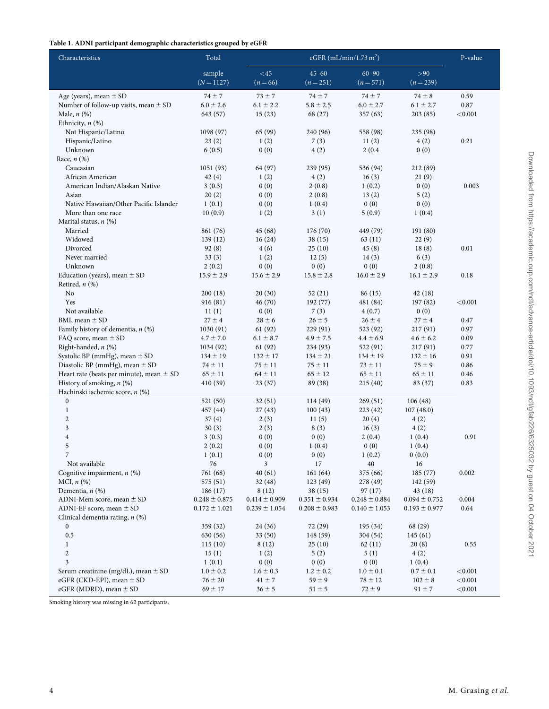# <span id="page-3-0"></span>Table 1. ADNI participant demographic characteristics grouped by eGFR

| Characteristics                              | Total             |                   | P-value           |                   |                   |         |
|----------------------------------------------|-------------------|-------------------|-------------------|-------------------|-------------------|---------|
|                                              | sample            | <45               | $45 - 60$         | $60 - 90$         | >90               |         |
|                                              | $(N = 1127)$      | $(n=66)$          | $(n=251)$         | $(n=571)$         | $(n = 239)$       |         |
| Age (years), mean $\pm$ SD                   | $74 \pm 7$        | $73 \pm 7$        | $74 \pm 7$        | $74 \pm 7$        | $74 \pm 8$        | 0.59    |
| Number of follow-up visits, mean ± SD        | $6.0 \pm 2.6$     | $6.1 \pm 2.2$     | $5.8 \pm 2.5$     | $6.0 \pm 2.7$     | $6.1 \pm 2.7$     | 0.87    |
| Male, $n$ $(\%)$                             | 643 (57)          | 15(23)            | 68 (27)           | 357 (63)          | 203(85)           | < 0.001 |
| Ethnicity, $n$ $(\%)$                        |                   |                   |                   |                   |                   |         |
| Not Hispanic/Latino                          | 1098(97)          | 65 (99)           | 240 (96)          | 558 (98)          | 235 (98)          |         |
| Hispanic/Latino                              | 23(2)             | 1(2)              | 7(3)              | 11(2)             | 4(2)              | 0.21    |
| Unknown                                      | 6(0.5)            | 0(0)              | 4(2)              | 2(0.4)            | 0(0)              |         |
| Race, $n$ $(\%)$                             |                   |                   |                   |                   |                   |         |
| Caucasian                                    | 1051(93)          | 64 (97)           | 239 (95)          | 536 (94)          | 212 (89)          |         |
| African American                             | 42 (4)            | 1(2)              | 4(2)              | 16(3)             | 21(9)             |         |
| American Indian/Alaskan Native               | 3(0.3)            | 0(0)              | 2(0.8)            | 1(0.2)            | 0(0)              | 0.003   |
| Asian                                        | 20(2)             | 0(0)              | 2(0.8)            | 13(2)             | 5(2)              |         |
| Native Hawaiian/Other Pacific Islander       | 1(0.1)            | 0(0)              | 1(0.4)            | 0(0)              | 0(0)              |         |
| More than one race                           | 10(0.9)           | 1(2)              | 3(1)              | 5(0.9)            | 1(0.4)            |         |
| Marital status, $n$ (%)<br>Married           | 861 (76)          | 45 (68)           | 176 (70)          | 449 (79)          | 191 (80)          |         |
| Widowed                                      | 139(12)           | 16(24)            | 38(15)            | 63(11)            | 22(9)             |         |
| Divorced                                     | 92(8)             | 4(6)              | 25(10)            | 45(8)             | 18(8)             | 0.01    |
| Never married                                | 33(3)             | 1(2)              | 12(5)             | 14(3)             | 6(3)              |         |
| Unknown                                      | 2(0.2)            | 0(0)              | 0(0)              | 0(0)              | 2(0.8)            |         |
| Education (years), mean $\pm$ SD             | $15.9 \pm 2.9$    | $15.6 \pm 2.9$    | $15.8 \pm 2.8$    | $16.0 \pm 2.9$    | $16.1 \pm 2.9$    | 0.18    |
| Retired, $n$ (%)                             |                   |                   |                   |                   |                   |         |
| No                                           | 200(18)           | 20(30)            | 52(21)            | 86 (15)           | 42(18)            |         |
| Yes                                          | 916 (81)          | 46 (70)           | 192 (77)          | 481 (84)          | 197 (82)          | < 0.001 |
| Not available                                | 11(1)             | 0(0)              | 7(3)              | 4(0.7)            | 0(0)              |         |
| BMI, mean $\pm$ SD                           | $27 \pm 4$        | $28 \pm 6$        | $26 \pm 5$        | $26 \pm 4$        | $27 \pm 4$        | 0.47    |
| Family history of dementia, $n$ (%)          | 1030(91)          | 61(92)            | 229 (91)          | 523 (92)          | 217 (91)          | 0.97    |
| FAQ score, mean $\pm$ SD                     | $4.7 \pm 7.0$     | $6.1 \pm 8.7$     | $4.9 \pm 7.5$     | $4.4 \pm 6.9$     | $4.6 \pm 6.2$     | 0.09    |
| Right-handed, n (%)                          | 1034 (92)         | 61 (92)           | 234 (93)          | 522 (91)          | 217(91)           | 0.77    |
| Systolic BP (mmHg), mean ± SD                | $134 \pm 19$      | $132 \pm 17$      | $134 \pm 21$      | $134 \pm 19$      | $132 \pm 16$      | 0.91    |
| Diastolic BP (mmHg), mean $\pm$ SD           | $74 \pm 11$       | $75\pm11$         | $75 \pm 11$       | $73 \pm 11$       | $75 \pm 9$        | 0.86    |
| Heart rate (beats per minute), mean $\pm$ SD | $65 \pm 11$       | $64 \pm 11$       | $65 \pm 12$       | $65 \pm 11$       | $65 \pm 11$       | 0.46    |
| History of smoking, n (%)                    | 410 (39)          | 23(37)            | 89 (38)           | 215(40)           | 83 (37)           | 0.83    |
| Hachinski ischemic score, n (%)              |                   |                   |                   |                   |                   |         |
| $\boldsymbol{0}$                             | 521 (50)          | 32(51)            | 114 (49)          | 269(51)           | 106(48)           |         |
| $\mathbf{1}$                                 | 457 (44)          | 27(43)            | 100(43)           | 223 (42)          | 107(48.0)         |         |
| $\mathbf{2}$                                 | 37(4)             | 2(3)              | 11(5)             | 20(4)             | 4(2)              |         |
| $\mathfrak{Z}$<br>$\overline{4}$             | 30(3)             | 2(3)<br>0(0)      | 8(3)<br>0(0)      | 16(3)<br>2(0.4)   | 4(2)              | 0.91    |
| 5                                            | 3(0.3)<br>2(0.2)  | 0(0)              | 1(0.4)            | 0(0)              | 1(0.4)<br>1(0.4)  |         |
|                                              | 1(0.1)            | 0(0)              | 0(0)              | 1(0.2)            | 0(0.0)            |         |
| Not available                                | 76                | $\mathfrak{Z}$    | 17                | $40\,$            | 16                |         |
| Cognitive impairment, $n$ (%)                | 761 (68)          | 40(61)            | 161 (64)          | 375 (66)          | 185 (77)          | 0.002   |
| MCI, $n$ $(\%)$                              | 575 (51)          | 32(48)            | 123(49)           | 278 (49)          | 142 (59)          |         |
| Dementia, $n$ $(\%)$                         | 186(17)           | 8(12)             | 38(15)            | 97(17)            | 43 (18)           |         |
| ADNI-Mem score, mean $\pm$ SD                | $0.248 \pm 0.875$ | $0.414 \pm 0.909$ | $0.351 \pm 0.934$ | $0.248 \pm 0.884$ | $0.094 \pm 0.752$ | 0.004   |
| ADNI-EF score, mean $\pm$ SD                 | $0.172 \pm 1.021$ | $0.239 \pm 1.054$ | $0.208 \pm 0.983$ | $0.140 \pm 1.053$ | $0.193 \pm 0.977$ | 0.64    |
| Clinical dementia rating, $n$ (%)            |                   |                   |                   |                   |                   |         |
| $\boldsymbol{0}$                             | 359 (32)          | 24 (36)           | 72 (29)           | 195 (34)          | 68 (29)           |         |
| $0.5\,$                                      | 630 (56)          | 33 (50)           | 148 (59)          | 304 (54)          | 145(61)           |         |
| $\mathbf{1}$                                 | 115(10)           | 8(12)             | 25(10)            | 62(11)            | 20(8)             | 0.55    |
| $\overline{c}$                               | 15(1)             | 1(2)              | 5(2)              | 5(1)              | 4(2)              |         |
| $\mathfrak{Z}$                               | 1(0.1)            | 0(0)              | 0(0)              | 0(0)              | 1(0.4)            |         |
| Serum creatinine (mg/dL), mean $\pm$ SD      | $1.0 \pm 0.2$     | $1.6 \pm 0.3$     | $1.2 \pm 0.2$     | $1.0 \pm 0.1$     | $0.7 \pm 0.1$     | < 0.001 |
| eGFR (CKD-EPI), mean $\pm$ SD                | $76 \pm 20$       | $41 \pm 7$        | $59 \pm 9$        | $78 \pm 12$       | $102 \pm 8$       | < 0.001 |
| eGFR (MDRD), mean $\pm$ SD                   | $69 \pm 17$       | $36 \pm 5$        | $51 \pm 5$        | $72 \pm 9$        | $91 \pm 7$        | < 0.001 |

Downloaded from https://academic.oup.com/ndt/advance-article/doi/10.1093/ndt/gfab226/6325032 by guest on 04 October 2021

Downloaded from https://academic.oup.com/ndt/advance-article/doi/10.1093/ndt/gfab226/6325032 by guest on 04 October 2021

Smoking history was missing in 62 participants.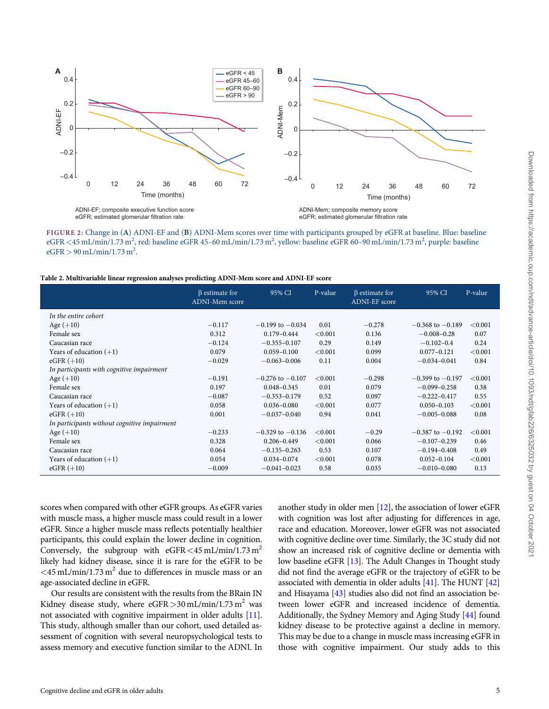<span id="page-4-0"></span>

FIGURE 2: Change in (A) ADNI-EF and (B) ADNI-Mem scores over time with participants grouped by eGFR at baseline. Blue: baseline eGFR <45 mL/min/1.73 m<sup>2</sup>, red: baseline eGFR 45-60 mL/min/1.73 m<sup>2</sup>, yellow: baseline eGFR 60-90 mL/min/1.73 m<sup>2</sup>, purple: baseline  $eGFR > 90 \text{ mL/min}/1.73 \text{ m}^2$ .

Table 2. Multivariable linear regression analyses predicting ADNI-Mem score and ADNI-EF score

|                                              | $\beta$ estimate for<br>ADNI-Mem score | 95% CI               | P-value | $\beta$ estimate for<br>ADNI-EF score | 95% CI               | P-value |
|----------------------------------------------|----------------------------------------|----------------------|---------|---------------------------------------|----------------------|---------|
| In the entire cohort                         |                                        |                      |         |                                       |                      |         |
| Age $(+10)$                                  | $-0.117$                               | $-0.199$ to $-0.034$ | 0.01    | $-0.278$                              | $-0.368$ to $-0.189$ | < 0.001 |
| Female sex                                   | 0.312                                  | $0.179 - 0.444$      | < 0.001 | 0.136                                 | $-0.008 - 0.28$      | 0.07    |
| Caucasian race                               | $-0.124$                               | $-0.355 - 0.107$     | 0.29    | 0.149                                 | $-0.102 - 0.4$       | 0.24    |
| Years of education $(+1)$                    | 0.079                                  | $0.059 - 0.100$      | < 0.001 | 0.099                                 | $0.077 - 0.121$      | < 0.001 |
| $eGFR (+10)$                                 | $-0.029$                               | $-0.063 - 0.006$     | 0.11    | 0.004                                 | $-0.034 - 0.041$     | 0.84    |
| In participants with cognitive impairment    |                                        |                      |         |                                       |                      |         |
| Age $(+10)$                                  | $-0.191$                               | $-0.276$ to $-0.107$ | < 0.001 | $-0.298$                              | $-0.399$ to $-0.197$ | < 0.001 |
| Female sex                                   | 0.197                                  | $0.048 - 0.345$      | 0.01    | 0.079                                 | $-0.099 - 0.258$     | 0.38    |
| Caucasian race                               | $-0.087$                               | $-0.353 - 0.179$     | 0.52    | 0.097                                 | $-0.222 - 0.417$     | 0.55    |
| Years of education $(+1)$                    | 0.058                                  | $0.036 - 0.080$      | < 0.001 | 0.077                                 | $0.050 - 0.103$      | < 0.001 |
| $eGFR (+10)$                                 | 0.001                                  | $-0.037 - 0.040$     | 0.94    | 0.041                                 | $-0.005 - 0.088$     | 0.08    |
| In participants without cognitive impairment |                                        |                      |         |                                       |                      |         |
| Age $(+10)$                                  | $-0.233$                               | $-0.329$ to $-0.136$ | < 0.001 | $-0.29$                               | $-0.387$ to $-0.192$ | < 0.001 |
| Female sex                                   | 0.328                                  | $0.206 - 0.449$      | < 0.001 | 0.066                                 | $-0.107 - 0.239$     | 0.46    |
| Caucasian race                               | 0.064                                  | $-0.135 - 0.263$     | 0.53    | 0.107                                 | $-0.194 - 0.408$     | 0.49    |
| Years of education $(+1)$                    | 0.054                                  | $0.034 - 0.074$      | < 0.001 | 0.078                                 | $0.052 - 0.104$      | < 0.001 |
| $eGFR (+10)$                                 | $-0.009$                               | $-0.041 - 0.023$     | 0.58    | 0.035                                 | $-0.010 - 0.080$     | 0.13    |

scores when compared with other eGFR groups. As eGFR varies with muscle mass, a higher muscle mass could result in a lower eGFR. Since a higher muscle mass reflects potentially healthier participants, this could explain the lower decline in cognition. Conversely, the subgroup with  $eGFR < 45$  mL/min/1.73 m<sup>2</sup> likely had kidney disease, since it is rare for the eGFR to be  $\langle 45 \text{ mL/min}/1.73 \text{ m}^2$  due to differences in muscle mass or an age-associated decline in eGFR.

Our results are consistent with the results from the BRain IN Kidney disease study, where  $eGFR > 30$  mL/min/1.73 m<sup>2</sup> was not associated with cognitive impairment in older adults [[11\]](#page-6-0). This study, although smaller than our cohort, used detailed assessment of cognition with several neuropsychological tests to assess memory and executive function similar to the ADNI. In another study in older men [\[12\]](#page-6-0), the association of lower eGFR with cognition was lost after adjusting for differences in age, race and education. Moreover, lower eGFR was not associated with cognitive decline over time. Similarly, the 3C study did not show an increased risk of cognitive decline or dementia with low baseline eGFR [\[13\]](#page-6-0). The Adult Changes in Thought study did not find the average eGFR or the trajectory of eGFR to be associated with dementia in older adults [\[41](#page-7-0)]. The HUNT [\[42\]](#page-7-0) and Hisayama [\[43\]](#page-7-0) studies also did not find an association between lower eGFR and increased incidence of dementia. Additionally, the Sydney Memory and Aging Study [\[44](#page-7-0)] found kidney disease to be protective against a decline in memory. This may be due to a change in muscle mass increasing eGFR in those with cognitive impairment. Our study adds to this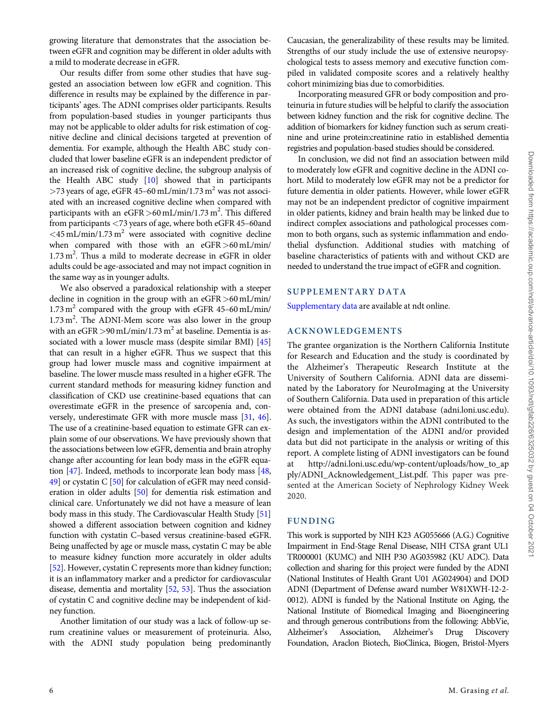<span id="page-5-0"></span>growing literature that demonstrates that the association between eGFR and cognition may be different in older adults with a mild to moderate decrease in eGFR.

Our results differ from some other studies that have suggested an association between low eGFR and cognition. This difference in results may be explained by the difference in participants' ages. The ADNI comprises older participants. Results from population-based studies in younger participants thus may not be applicable to older adults for risk estimation of cognitive decline and clinical decisions targeted at prevention of dementia. For example, although the Health ABC study concluded that lower baseline eGFR is an independent predictor of an increased risk of cognitive decline, the subgroup analysis of the Health ABC study [[10](#page-6-0)] showed that in participants  $>$ 73 years of age, eGFR 45–60 mL/min/1.73 m<sup>2</sup> was not associated with an increased cognitive decline when compared with participants with an  $eGFR > 60$  mL/min/1.73 m<sup>2</sup>. This differed from participants <73 years of age, where both eGFR 45–60and  $\langle 45 \text{ mL/min}/1.73 \text{ m}^2$  were associated with cognitive decline when compared with those with an eGFR >60 mL/min/ 1.73 m<sup>2</sup>. Thus a mild to moderate decrease in eGFR in older adults could be age-associated and may not impact cognition in the same way as in younger adults.

We also observed a paradoxical relationship with a steeper decline in cognition in the group with an eGFR>60 mL/min/  $1.73 \text{ m}^2$  compared with the group with eGFR 45–60 mL/min/ 1.73 m<sup>2</sup>. The ADNI-Mem score was also lower in the group with an  $e$ GFR > 90 mL/min/1.73 m<sup>2</sup> at baseline. Dementia is associated with a lower muscle mass (despite similar BMI) [[45](#page-7-0)] that can result in a higher eGFR. Thus we suspect that this group had lower muscle mass and cognitive impairment at baseline. The lower muscle mass resulted in a higher eGFR. The current standard methods for measuring kidney function and classification of CKD use creatinine-based equations that can overestimate eGFR in the presence of sarcopenia and, conversely, underestimate GFR with more muscle mass [\[31,](#page-6-0) [46](#page-7-0)]. The use of a creatinine-based equation to estimate GFR can explain some of our observations. We have previously shown that the associations between low eGFR, dementia and brain atrophy change after accounting for lean body mass in the eGFR equation [\[47\]](#page-7-0). Indeed, methods to incorporate lean body mass [\[48](#page-7-0), [49](#page-7-0)] or cystatin C [\[50\]](#page-7-0) for calculation of eGFR may need consideration in older adults [[50](#page-7-0)] for dementia risk estimation and clinical care. Unfortunately we did not have a measure of lean body mass in this study. The Cardiovascular Health Study [[51](#page-7-0)] showed a different association between cognition and kidney function with cystatin C–based versus creatinine-based eGFR. Being unaffected by age or muscle mass, cystatin C may be able to measure kidney function more accurately in older adults [\[52\]](#page-7-0). However, cystatin C represents more than kidney function; it is an inflammatory marker and a predictor for cardiovascular disease, dementia and mortality [[52](#page-7-0), [53](#page-7-0)]. Thus the association of cystatin C and cognitive decline may be independent of kidney function.

Another limitation of our study was a lack of follow-up serum creatinine values or measurement of proteinuria. Also, with the ADNI study population being predominantly Caucasian, the generalizability of these results may be limited. Strengths of our study include the use of extensive neuropsychological tests to assess memory and executive function compiled in validated composite scores and a relatively healthy cohort minimizing bias due to comorbidities.

Incorporating measured GFR or body composition and proteinuria in future studies will be helpful to clarify the association between kidney function and the risk for cognitive decline. The addition of biomarkers for kidney function such as serum creatinine and urine protein:creatinine ratio in established dementia registries and population-based studies should be considered.

In conclusion, we did not find an association between mild to moderately low eGFR and cognitive decline in the ADNI cohort. Mild to moderately low eGFR may not be a predictor for future dementia in older patients. However, while lower eGFR may not be an independent predictor of cognitive impairment in older patients, kidney and brain health may be linked due to indirect complex associations and pathological processes common to both organs, such as systemic inflammation and endothelial dysfunction. Additional studies with matching of baseline characteristics of patients with and without CKD are needed to understand the true impact of eGFR and cognition.

# SUPPLEMENTARY DATA

[Supplementary data](https://academic.oup.com/ndt/article-lookup/doi/10.1093/ndt/gfab226#supplementary-data) are available at ndt online.

# ACKNOWLEDGEMENTS

The grantee organization is the Northern California Institute for Research and Education and the study is coordinated by the Alzheimer's Therapeutic Research Institute at the University of Southern California. ADNI data are disseminated by the Laboratory for NeuroImaging at the University of Southern California. Data used in preparation of this article were obtained from the ADNI database (adni.loni.usc.edu). As such, the investigators within the ADNI contributed to the design and implementation of the ADNI and/or provided data but did not participate in the analysis or writing of this report. A complete listing of ADNI investigators can be found at [http://adni.loni.usc.edu/wp-content/uploads/how\\_to\\_ap](http://adni.loni.usc.edu/wp-content/uploads/how_to_apply/ADNI_Acknowledgement_List.pdf) [ply/ADNI\\_Acknowledgement\\_List.pdf.](http://adni.loni.usc.edu/wp-content/uploads/how_to_apply/ADNI_Acknowledgement_List.pdf) This paper was presented at the American Society of Nephrology Kidney Week 2020.

# FUNDING

This work is supported by NIH K23 AG055666 (A.G.) Cognitive Impairment in End-Stage Renal Disease, NIH CTSA grant UL1 TR000001 (KUMC) and NIH P30 AG035982 (KU ADC). Data collection and sharing for this project were funded by the ADNI (National Institutes of Health Grant U01 AG024904) and DOD ADNI (Department of Defense award number W81XWH-12-2- 0012). ADNI is funded by the National Institute on Aging, the National Institute of Biomedical Imaging and Bioengineering and through generous contributions from the following: AbbVie, Alzheimer's Association, Alzheimer's Drug Discovery Foundation, Araclon Biotech, BioClinica, Biogen, Bristol-Myers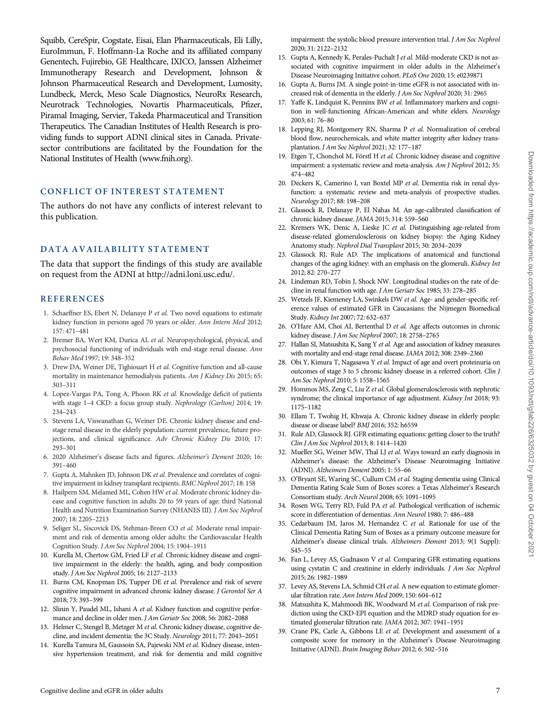<span id="page-6-0"></span>Squibb, CereSpir, Cogstate, Eisai, Elan Pharmaceuticals, Eli Lilly, EuroImmun, F. Hoffmann-La Roche and its affiliated company Genentech, Fujirebio, GE Healthcare, IXICO, Janssen Alzheimer Immunotherapy Research and Development, Johnson & Johnson Pharmaceutical Research and Development, Lumosity, Lundbeck, Merck, Meso Scale Diagnostics, NeuroRx Research, Neurotrack Technologies, Novartis Pharmaceuticals, Pfizer, Piramal Imaging, Servier, Takeda Pharmaceutical and Transition Therapeutics. The Canadian Institutes of Health Research is providing funds to support ADNI clinical sites in Canada. Privatesector contributions are facilitated by the Foundation for the National Institutes of Health ([www.fnih.org\)](http://www.fnih.org).

# CONFLICT OF INTEREST STATEMENT

The authors do not have any conflicts of interest relevant to this publication.

# DATA AVAILABILITY STATEMENT

The data that support the findings of this study are available on request from the ADNI at http://adni.loni.usc.edu/.

# **REFERENCES**

- [1](#page-0-0). Schaeffner ES, Ebert N, Delanaye P et al. Two novel equations to estimate kidney function in persons aged 70 years or older. Ann Intern Med 2012; 157: 471–481
- 2. Bremer BA, Wert KM, Durica AL et al. Neuropsychological, physical, and psychosocial functioning of individuals with end-stage renal disease. Ann Behav Med 1997; 19: 348–352
- 3. Drew DA, Weiner DE, Tighiouart H et al. Cognitive function and all-cause mortality in maintenance hemodialysis patients. Am J Kidney Dis 2015; 65: 303–311
- 4. Lopez-Vargas PA, Tong A, Phoon RK et al. Knowledge deficit of patients with stage 1–4 CKD: a focus group study. Nephrology (Carlton) 2014; 19: 234–243
- [5](#page-0-0). Stevens LA, Viswanathan G, Weiner DE. Chronic kidney disease and endstage renal disease in the elderly population: current prevalence, future projections, and clinical significance. Adv Chronic Kidney Dis 2010; 17: 293–301
- [6](#page-0-0). 2020 Alzheimer's disease facts and figures. Alzheimer's Dement 2020; 16: 391–460
- [7](#page-0-0). Gupta A, Mahnken JD, Johnson DK et al. Prevalence and correlates of cognitive impairment in kidney transplant recipients. BMC Nephrol 2017; 18: 158
- [8](#page-0-0). Hailpern SM, Melamed ML, Cohen HW et al. Moderate chronic kidney disease and cognitive function in adults 20 to 59 years of age: third National Health and Nutrition Examination Survey (NHANES III). J Am Soc Nephrol 2007; 18: 2205–2213
- [9](#page-0-0). Seliger SL, Siscovick DS, Stehman-Breen CO et al. Moderate renal impairment and risk of dementia among older adults: the Cardiovascular Health Cognition Study. J Am Soc Nephrol 2004; 15: 1904–1911
- [10](#page-0-0). Kurella M, Chertow GM, Fried LF et al. Chronic kidney disease and cognitive impairment in the elderly: the health, aging, and body composition study. J Am Soc Nephrol 2005; 16: 2127–2133
- [11](#page-4-0). Burns CM, Knopman DS, Tupper DE et al. Prevalence and risk of severe cognitive impairment in advanced chronic kidney disease. J Gerontol Ser A 2018; 73: 393–399
- [12](#page-4-0). Slinin Y, Paudel ML, Ishani A et al. Kidney function and cognitive performance and decline in older men. J Am Geriatr Soc 2008; 56: 2082–2088
- [13](#page-4-0). Helmer C, Stengel B, Metzger M et al. Chronic kidney disease, cognitive decline, and incident dementia: the 3C Study. Neurology 2011; 77: 2043–2051
- 14. Kurella Tamura M, Gaussoin SA, Pajewski NM et al. Kidney disease, intensive hypertension treatment, and risk for dementia and mild cognitive

impairment: the systolic blood pressure intervention trial. J Am Soc Nephrol 2020; 31: 2122–2132

- [15.](#page-1-0) Gupta A, Kennedy K, Perales-Puchalt J et al. Mild-moderate CKD is not associated with cognitive impairment in older adults in the Alzheimer's Disease Neuroimaging Initiative cohort. PLoS One 2020; 15: e0239871
- [16.](#page-1-0) Gupta A, Burns JM. A single point-in-time eGFR is not associated with increased risk of dementia in the elderly. J Am Soc Nephrol 2020; 31: 2965
- [17.](#page-0-0) Yaffe K, Lindquist K, Penninx BW et al. Inflammatory markers and cognition in well-functioning African-American and white elders. Neurology 2003; 61: 76–80
- [18.](#page-0-0) Lepping RJ, Montgomery RN, Sharma P et al. Normalization of cerebral blood flow, neurochemicals, and white matter integrity after kidney transplantation. J Am Soc Nephrol 2021; 32: 177–187
- [19.](#page-0-0) Etgen T, Chonchol M, Förstl H et al. Chronic kidney disease and cognitive impairment: a systematic review and meta-analysis. Am J Nephrol 2012; 35: 474–482
- [20.](#page-0-0) Deckers K, Camerino I, van Boxtel MP et al. Dementia risk in renal dysfunction: a systematic review and meta-analysis of prospective studies. Neurology 2017; 88: 198–208
- [21.](#page-1-0) Glassock R, Delanaye P, El Nahas M. An age-calibrated classification of chronic kidney disease. JAMA 2015; 314: 559–560
- 22. Kremers WK, Denic A, Lieske JC et al. Distinguishing age-related from disease-related glomerulosclerosis on kidney biopsy: the Aging Kidney Anatomy study. Nephrol Dial Transplant 2015; 30: 2034–2039
- 23. Glassock RJ, Rule AD. The implications of anatomical and functional changes of the aging kidney: with an emphasis on the glomeruli. Kidney Int 2012; 82: 270–277
- [24.](#page-1-0) Lindeman RD, Tobin J, Shock NW. Longitudinal studies on the rate of decline in renal function with age. J Am Geriatr Soc 1985; 33: 278–285
- [25.](#page-1-0) Wetzels JF, Kiemeney LA, Swinkels DW et al. Age- and gender-specific reference values of estimated GFR in Caucasians: the Nijmegen Biomedical Study. Kidney Int 2007; 72: 632–637
- 26. O'Hare AM, Choi AI, Bertenthal D et al. Age affects outcomes in chronic kidney disease. J Am Soc Nephrol 2007; 18: 2758–2765
- 27. Hallan SI, Matsushita K, Sang Y et al. Age and association of kidney measures with mortality and end-stage renal disease. JAMA 2012; 308: 2349–2360
- 28. Obi Y, Kimura T, Nagasawa Y et al. Impact of age and overt proteinuria on outcomes of stage 3 to 5 chronic kidney disease in a referred cohort. Clin J Am Soc Nephrol 2010; 5: 1558–1565
- 29. Hommos MS, Zeng C, Liu Z et al. Global glomerulosclerosis with nephrotic syndrome; the clinical importance of age adjustment. Kidney Int 2018; 93: 1175–1182
- 30. Ellam T, Twohig H, Khwaja A. Chronic kidney disease in elderly people: disease or disease label? BMJ 2016; 352: h6559
- [31.](#page-1-0) Rule AD, Glassock RJ. GFR estimating equations: getting closer to the truth? Clin J Am Soc Nephrol 2013; 8: 1414–1420
- [32.](#page-1-0) Mueller SG, Weiner MW, Thal LJ et al. Ways toward an early diagnosis in Alzheimer's disease: the Alzheimer's Disease Neuroimaging Initiative (ADNI). Alzheimers Dement 2005; 1: 55–66
- [33.](#page-1-0) O'Bryant SE, Waring SC, Cullum CM et al. Staging dementia using Clinical Dementia Rating Scale Sum of Boxes scores: a Texas Alzheimer's Research Consortium study. Arch Neurol 2008; 65: 1091–1095
- [34.](#page-1-0) Rosen WG, Terry RD, Fuld PA et al. Pathological verification of ischemic score in differentiation of dementias. Ann Neurol 1980; 7: 486–488
- [35.](#page-1-0) Cedarbaum JM, Jaros M, Hernandez C et al. Rationale for use of the Clinical Dementia Rating Sum of Boxes as a primary outcome measure for Alzheimer's disease clinical trials. Alzheimers Dement 2013; 9(1 Suppl): S45–55
- [36.](#page-1-0) Fan L, Levey AS, Gudnason V et al. Comparing GFR estimating equations using cystatin C and creatinine in elderly individuals. J Am Soc Nephrol 2015; 26: 1982–1989
- [37.](#page-1-0) Levey AS, Stevens LA, Schmid CH et al. A new equation to estimate glomerular filtration rate. Ann Intern Med 2009; 150: 604–612
- [38.](#page-1-0) Matsushita K, Mahmoodi BK, Woodward M et al. Comparison of risk prediction using the CKD-EPI equation and the MDRD study equation for estimated glomerular filtration rate. JAMA 2012; 307: 1941–1951
- [39.](#page-2-0) Crane PK, Carle A, Gibbons LE et al. Development and assessment of a composite score for memory in the Alzheimer's Disease Neuroimaging Initiative (ADNI). Brain Imaging Behav 2012; 6: 502–516